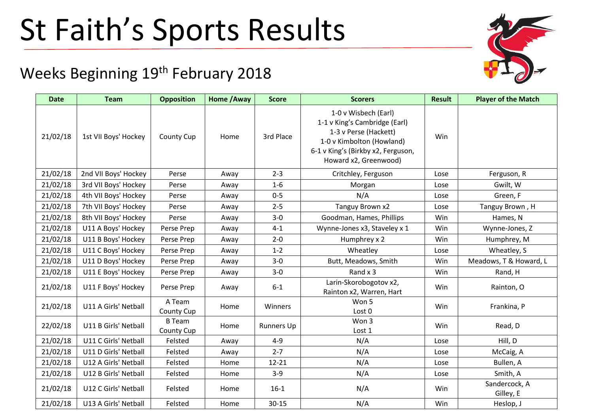## St Faith's Sports Results

## Weeks Beginning 19<sup>th</sup> February 2018

| <b>Date</b> | <b>Team</b>          | <b>Opposition</b>                  | Home / Away | <b>Score</b>      | <b>Scorers</b>                                                                                                                                                             | <b>Result</b> | <b>Player of the Match</b> |
|-------------|----------------------|------------------------------------|-------------|-------------------|----------------------------------------------------------------------------------------------------------------------------------------------------------------------------|---------------|----------------------------|
| 21/02/18    | 1st VII Boys' Hockey | <b>County Cup</b>                  | Home        | 3rd Place         | 1-0 v Wisbech (Earl)<br>1-1 v King's Cambridge (Earl)<br>1-3 v Perse (Hackett)<br>1-0 v Kimbolton (Howland)<br>6-1 v King's (Birkby x2, Ferguson,<br>Howard x2, Greenwood) | Win           |                            |
| 21/02/18    | 2nd VII Boys' Hockey | Perse                              | Away        | $2 - 3$           | Critchley, Ferguson                                                                                                                                                        | Lose          | Ferguson, R                |
| 21/02/18    | 3rd VII Boys' Hockey | Perse                              | Away        | $1-6$             | Morgan                                                                                                                                                                     | Lose          | Gwilt, W                   |
| 21/02/18    | 4th VII Boys' Hockey | Perse                              | Away        | $0 - 5$           | N/A                                                                                                                                                                        | Lose          | Green, F                   |
| 21/02/18    | 7th VII Boys' Hockey | Perse                              | Away        | $2 - 5$           | Tanguy Brown x2                                                                                                                                                            | Lose          | Tanguy Brown, H            |
| 21/02/18    | 8th VII Boys' Hockey | Perse                              | Away        | $3 - 0$           | Goodman, Hames, Phillips                                                                                                                                                   | Win           | Hames, N                   |
| 21/02/18    | U11 A Boys' Hockey   | Perse Prep                         | Away        | $4 - 1$           | Wynne-Jones x3, Staveley x 1                                                                                                                                               | Win           | Wynne-Jones, Z             |
| 21/02/18    | U11 B Boys' Hockey   | Perse Prep                         | Away        | $2 - 0$           | Humphrey x 2                                                                                                                                                               | Win           | Humphrey, M                |
| 21/02/18    | U11 C Boys' Hockey   | Perse Prep                         | Away        | $1 - 2$           | Wheatley                                                                                                                                                                   | Lose          | Wheatley, S                |
| 21/02/18    | U11 D Boys' Hockey   | Perse Prep                         | Away        | $3-0$             | Butt, Meadows, Smith                                                                                                                                                       | Win           | Meadows, T & Howard, L     |
| 21/02/18    | U11 E Boys' Hockey   | Perse Prep                         | Away        | $3-0$             | Rand x 3                                                                                                                                                                   | Win           | Rand, H                    |
| 21/02/18    | U11 F Boys' Hockey   | Perse Prep                         | Away        | $6 - 1$           | Larin-Skorobogotov x2,<br>Rainton x2, Warren, Hart                                                                                                                         | Win           | Rainton, O                 |
| 21/02/18    | U11 A Girls' Netball | A Team<br>County Cup               | Home        | Winners           | Won 5<br>Lost 0                                                                                                                                                            | Win           | Frankina, P                |
| 22/02/18    | U11 B Girls' Netball | <b>B</b> Team<br><b>County Cup</b> | Home        | <b>Runners Up</b> | Won 3<br>Lost 1                                                                                                                                                            | Win           | Read, D                    |
| 21/02/18    | U11 C Girls' Netball | Felsted                            | Away        | $4 - 9$           | N/A                                                                                                                                                                        | Lose          | Hill, D                    |
| 21/02/18    | U11 D Girls' Netball | Felsted                            | Away        | $2 - 7$           | N/A                                                                                                                                                                        | Lose          | McCaig, A                  |
| 21/02/18    | U12 A Girls' Netball | Felsted                            | Home        | 12-21             | N/A                                                                                                                                                                        | Lose          | Bullen, A                  |
| 21/02/18    | U12 B Girls' Netball | Felsted                            | Home        | $3 - 9$           | N/A                                                                                                                                                                        | Lose          | Smith, A                   |
| 21/02/18    | U12 C Girls' Netball | Felsted                            | Home        | $16-1$            | N/A                                                                                                                                                                        | Win           | Sandercock, A<br>Gilley, E |
| 21/02/18    | U13 A Girls' Netball | Felsted                            | Home        | $30 - 15$         | N/A                                                                                                                                                                        | Win           | Heslop, J                  |